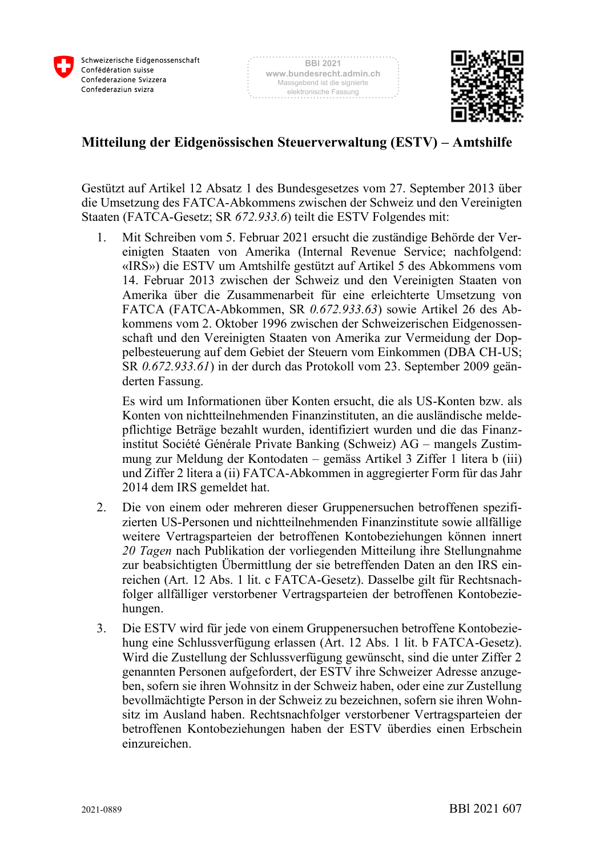



## **Mitteilung der Eidgenössischen Steuerverwaltung (ESTV) – Amtshilfe**

Gestützt auf Artikel 12 Absatz 1 des Bundesgesetzes vom 27. September 2013 über die Umsetzung des FATCA-Abkommens zwischen der Schweiz und den Vereinigten Staaten (FATCA-Gesetz; SR *672.933.6*) teilt die ESTV Folgendes mit:

1. Mit Schreiben vom 5. Februar 2021 ersucht die zuständige Behörde der Vereinigten Staaten von Amerika (Internal Revenue Service; nachfolgend: «IRS») die ESTV um Amtshilfe gestützt auf Artikel 5 des Abkommens vom 14. Februar 2013 zwischen der Schweiz und den Vereinigten Staaten von Amerika über die Zusammenarbeit für eine erleichterte Umsetzung von FATCA (FATCA-Abkommen, SR *0.672.933.63*) sowie Artikel 26 des Abkommens vom 2. Oktober 1996 zwischen der Schweizerischen Eidgenossenschaft und den Vereinigten Staaten von Amerika zur Vermeidung der Doppelbesteuerung auf dem Gebiet der Steuern vom Einkommen (DBA CH-US; SR *0.672.933.61*) in der durch das Protokoll vom 23. September 2009 geänderten Fassung.

Es wird um Informationen über Konten ersucht, die als US-Konten bzw. als Konten von nichtteilnehmenden Finanzinstituten, an die ausländische meldepflichtige Beträge bezahlt wurden, identifiziert wurden und die das Finanzinstitut Société Générale Private Banking (Schweiz) AG – mangels Zustimmung zur Meldung der Kontodaten – gemäss Artikel 3 Ziffer 1 litera b (iii) und Ziffer 2 litera a (ii) FATCA-Abkommen in aggregierter Form für das Jahr 2014 dem IRS gemeldet hat.

- 2. Die von einem oder mehreren dieser Gruppenersuchen betroffenen spezifizierten US-Personen und nichtteilnehmenden Finanzinstitute sowie allfällige weitere Vertragsparteien der betroffenen Kontobeziehungen können innert *20 Tagen* nach Publikation der vorliegenden Mitteilung ihre Stellungnahme zur beabsichtigten Übermittlung der sie betreffenden Daten an den IRS einreichen (Art. 12 Abs. 1 lit. c FATCA-Gesetz). Dasselbe gilt für Rechtsnachfolger allfälliger verstorbener Vertragsparteien der betroffenen Kontobeziehungen.
- 3. Die ESTV wird für jede von einem Gruppenersuchen betroffene Kontobeziehung eine Schlussverfügung erlassen (Art. 12 Abs. 1 lit. b FATCA-Gesetz). Wird die Zustellung der Schlussverfügung gewünscht, sind die unter Ziffer 2 genannten Personen aufgefordert, der ESTV ihre Schweizer Adresse anzugeben, sofern sie ihren Wohnsitz in der Schweiz haben, oder eine zur Zustellung bevollmächtigte Person in der Schweiz zu bezeichnen, sofern sie ihren Wohnsitz im Ausland haben. Rechtsnachfolger verstorbener Vertragsparteien der betroffenen Kontobeziehungen haben der ESTV überdies einen Erbschein einzureichen.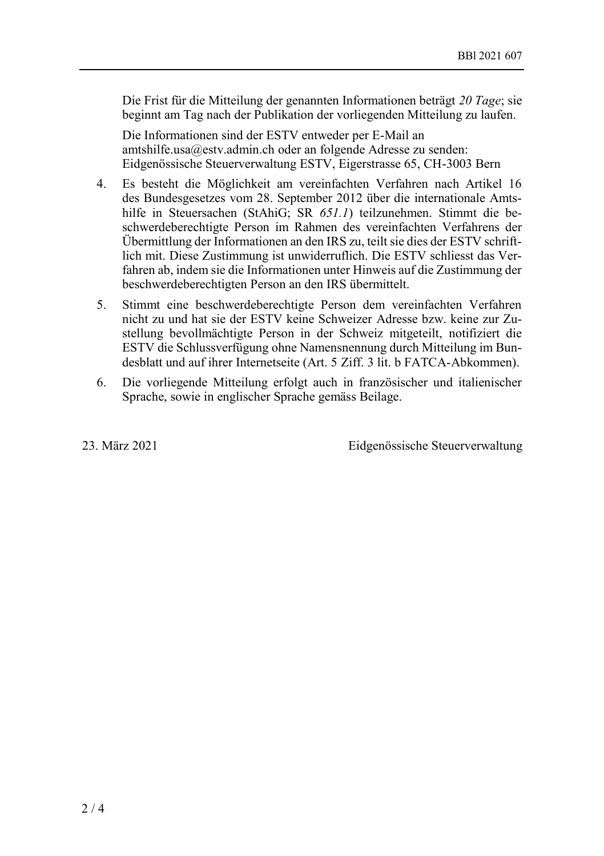Die Frist für die Mitteilung der genannten Informationen beträgt *20 Tage*; sie beginnt am Tag nach der Publikation der vorliegenden Mitteilung zu laufen.

Die Informationen sind der ESTV entweder per E-Mail an amtshilfe.usa@estv.admin.ch oder an folgende Adresse zu senden: Eidgenössische Steuerverwaltung ESTV, Eigerstrasse 65, CH-3003 Bern

- 4. Es besteht die Möglichkeit am vereinfachten Verfahren nach Artikel 16 des Bundesgesetzes vom 28. September 2012 über die internationale Amtshilfe in Steuersachen (StAhiG; SR *651.1*) teilzunehmen. Stimmt die beschwerdeberechtigte Person im Rahmen des vereinfachten Verfahrens der Übermittlung der Informationen an den IRS zu, teilt sie dies der ESTV schriftlich mit. Diese Zustimmung ist unwiderruflich. Die ESTV schliesst das Verfahren ab, indem sie die Informationen unter Hinweis auf die Zustimmung der beschwerdeberechtigten Person an den IRS übermittelt.
- 5. Stimmt eine beschwerdeberechtigte Person dem vereinfachten Verfahren nicht zu und hat sie der ESTV keine Schweizer Adresse bzw. keine zur Zustellung bevollmächtigte Person in der Schweiz mitgeteilt, notifiziert die ESTV die Schlussverfügung ohne Namensnennung durch Mitteilung im Bundesblatt und auf ihrer Internetseite (Art. 5 Ziff. 3 lit. b FATCA-Abkommen).
- 6. Die vorliegende Mitteilung erfolgt auch in französischer und italienischer Sprache, sowie in englischer Sprache gemäss Beilage.

23. März 2021 Eidgenössische Steuerverwaltung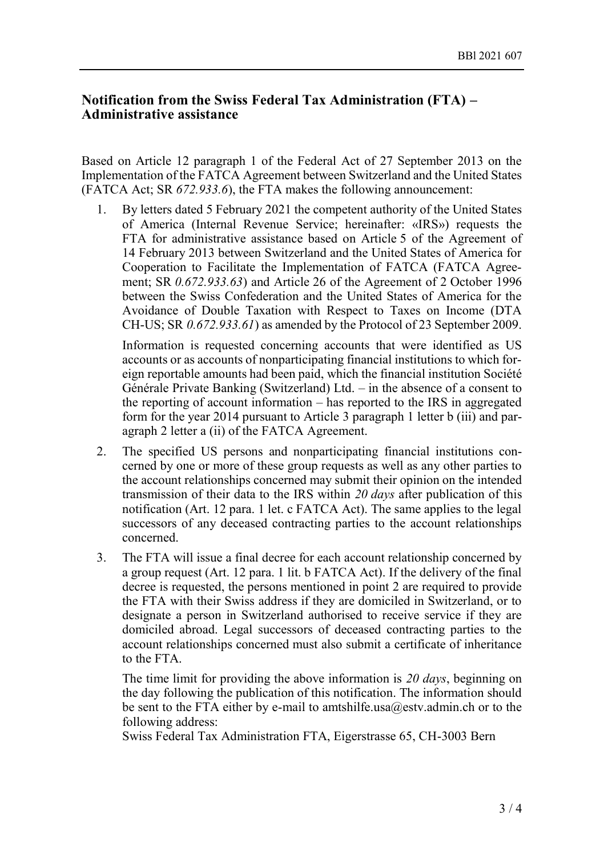## **Notification from the Swiss Federal Tax Administration (FTA) – Administrative assistance**

Based on Article 12 paragraph 1 of the Federal Act of 27 September 2013 on the Implementation of the FATCA Agreement between Switzerland and the United States (FATCA Act; SR *672.933.6*), the FTA makes the following announcement:

1. By letters dated 5 February 2021 the competent authority of the United States of America (Internal Revenue Service; hereinafter: «IRS») requests the FTA for administrative assistance based on Article 5 of the Agreement of 14 February 2013 between Switzerland and the United States of America for Cooperation to Facilitate the Implementation of FATCA (FATCA Agreement; SR *0.672.933.63*) and Article 26 of the Agreement of 2 October 1996 between the Swiss Confederation and the United States of America for the Avoidance of Double Taxation with Respect to Taxes on Income (DTA CH-US; SR *0.672.933.61*) as amended by the Protocol of 23 September 2009.

Information is requested concerning accounts that were identified as US accounts or as accounts of nonparticipating financial institutions to which foreign reportable amounts had been paid, which the financial institution Société Générale Private Banking (Switzerland) Ltd. – in the absence of a consent to the reporting of account information – has reported to the IRS in aggregated form for the year 2014 pursuant to Article 3 paragraph 1 letter b (iii) and paragraph 2 letter a (ii) of the FATCA Agreement.

- 2. The specified US persons and nonparticipating financial institutions concerned by one or more of these group requests as well as any other parties to the account relationships concerned may submit their opinion on the intended transmission of their data to the IRS within *20 days* after publication of this notification (Art. 12 para. 1 let. c FATCA Act). The same applies to the legal successors of any deceased contracting parties to the account relationships concerned.
- 3. The FTA will issue a final decree for each account relationship concerned by a group request (Art. 12 para. 1 lit. b FATCA Act). If the delivery of the final decree is requested, the persons mentioned in point 2 are required to provide the FTA with their Swiss address if they are domiciled in Switzerland, or to designate a person in Switzerland authorised to receive service if they are domiciled abroad. Legal successors of deceased contracting parties to the account relationships concerned must also submit a certificate of inheritance to the FTA.

The time limit for providing the above information is *20 days*, beginning on the day following the publication of this notification. The information should be sent to the FTA either by e-mail to amtshilfe.usa@estv.admin.ch or to the following address:

Swiss Federal Tax Administration FTA, Eigerstrasse 65, CH-3003 Bern